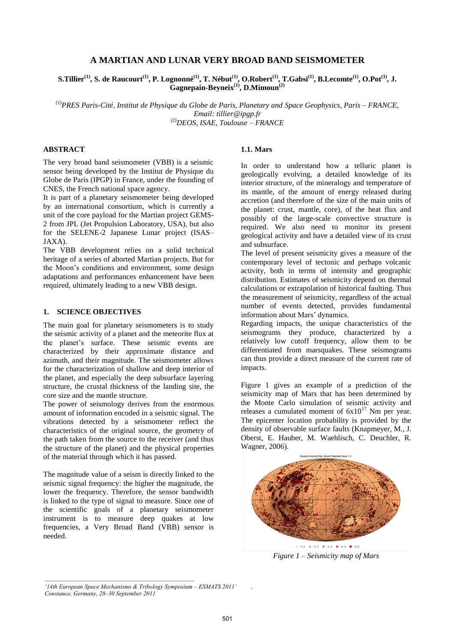## **A MARTIAN AND LUNAR VERY BROAD BAND SEISMOMETER**

S.Tillier $^{(1)}$ , S. de Raucourt $^{(1)}$ , P. Lognonné $^{(1)}$ , T. Nébut $^{(1)}$ , O.Robert $^{(1)}$ , T.Gabsi $^{(1)}$ , B.Lecomte $^{(1)}$ , O.Pot $^{(1)}$ , J. **Gagnepain-Beyneix(1), D.Mimoun(2)**

*(1)PRES Paris-Cité, Institut de Physique du Globe de Paris, Planetary and Space Geophysics, Paris – FRANCE, Email: tillier@ipgp.fr (2)DEOS, ISAE, Toulouse – FRANCE*

### **ABSTRACT**

The very broad band seismometer (VBB) is a seismic sensor being developed by the Institut de Physique du Globe de Paris (IPGP) in France, under the founding of CNES, the French national space agency.

It is part of a planetary seismometer being developed by an international consortium, which is currently a unit of the core payload for the Martian project GEMS-2 from JPL (Jet Propulsion Laboratory, USA), but also for the SELENE-2 Japanese Lunar project (ISAS– JAXA).

The VBB development relies on a solid technical heritage of a series of aborted Martian projects. But for the Moon's conditions and environment, some design adaptations and performances enhancement have been required, ultimately leading to a new VBB design.

#### **1. SCIENCE OBJECTIVES**

The main goal for planetary seismometers is to study the seismic activity of a planet and the meteorite flux at the planet's surface. These seismic events are characterized by their approximate distance and azimuth, and their magnitude. The seismometer allows for the characterization of shallow and deep interior of the planet, and especially the deep subsurface layering structure, the crustal thickness of the landing site, the core size and the mantle structure.

The power of seismology derives from the enormous amount of information encoded in a seismic signal. The vibrations detected by a seismometer reflect the characteristics of the original source, the geometry of the path taken from the source to the receiver (and thus the structure of the planet) and the physical properties of the material through which it has passed.

The magnitude value of a seism is directly linked to the seismic signal frequency: the higher the magnitude, the lower the frequency. Therefore, the sensor bandwidth is linked to the type of signal to measure. Since one of the scientific goals of a planetary seismometer instrument is to measure deep quakes at low frequencies, a Very Broad Band (VBB) sensor is needed.

*\_\_\_\_\_\_\_\_\_\_\_\_\_\_\_\_\_\_\_\_\_\_\_\_\_\_\_\_\_\_\_\_\_\_\_\_\_\_\_\_\_\_\_\_\_\_\_\_\_*

# **1.1. Mars**

In order to understand how a telluric planet is geologically evolving, a detailed knowledge of its interior structure, of the mineralogy and temperature of its mantle, of the amount of energy released during accretion (and therefore of the size of the main units of the planet: crust, mantle, core), of the heat flux and possibly of the large-scale convective structure is required. We also need to monitor its present geological activity and have a detailed view of its crust and subsurface.

The level of present seismicity gives a measure of the contemporary level of tectonic and perhaps volcanic activity, both in terms of intensity and geographic distribution. Estimates of seismicity depend on thermal calculations or extrapolation of historical faulting. Thus the measurement of seismicity, regardless of the actual number of events detected, provides fundamental information about Mars' dynamics.

Regarding impacts, the unique characteristics of the seismograms they produce, characterized by a relatively low cutoff frequency, allow them to be differentiated from marsquakes. These seismograms can thus provide a direct measure of the current rate of impacts.

Figure 1 gives an example of a prediction of the seismicity map of Mars that has been determined by the Monte Carlo simulation of seismic activity and releases a cumulated moment of  $6x10^{17}$  Nm per year. The epicenter location probability is provided by the density of observable surface faults (Knapmeyer, M., J. Oberst, E. Hauber, M. Waehlisch, C. Deuchler, R. Wagner, 2006).



*Figure 1 – Seismicity map of Mars* 

*'*

*<sup>&#</sup>x27;14th European Space Mechanisms & Tribology Symposium – ESMATS 2011' Constance, Germany, 28–30 September 2011*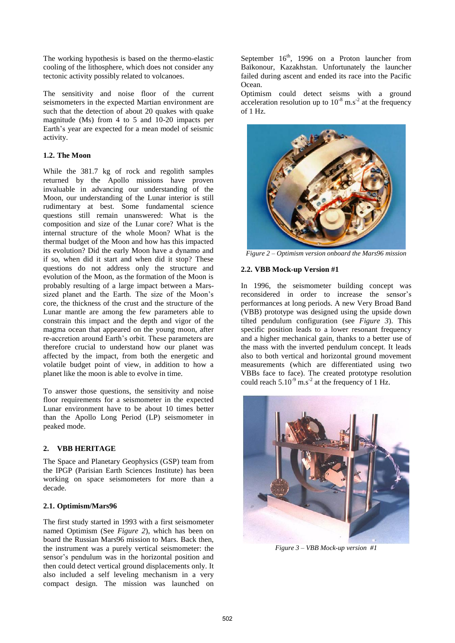The working hypothesis is based on the thermo-elastic cooling of the lithosphere, which does not consider any tectonic activity possibly related to volcanoes.

The sensitivity and noise floor of the current seismometers in the expected Martian environment are such that the detection of about 20 quakes with quake magnitude (Ms) from 4 to 5 and 10-20 impacts per Earth's year are expected for a mean model of seismic activity.

## **1.2. The Moon**

While the 381.7 kg of rock and regolith samples returned by the Apollo missions have proven invaluable in advancing our understanding of the Moon, our understanding of the Lunar interior is still rudimentary at best. Some fundamental science questions still remain unanswered: What is the composition and size of the Lunar core? What is the internal structure of the whole Moon? What is the thermal budget of the Moon and how has this impacted its evolution? Did the early Moon have a dynamo and if so, when did it start and when did it stop? These questions do not address only the structure and evolution of the Moon, as the formation of the Moon is probably resulting of a large impact between a Marssized planet and the Earth. The size of the Moon's core, the thickness of the crust and the structure of the Lunar mantle are among the few parameters able to constrain this impact and the depth and vigor of the magma ocean that appeared on the young moon, after re-accretion around Earth's orbit. These parameters are therefore crucial to understand how our planet was affected by the impact, from both the energetic and volatile budget point of view, in addition to how a planet like the moon is able to evolve in time.

To answer those questions, the sensitivity and noise floor requirements for a seismometer in the expected Lunar environment have to be about 10 times better than the Apollo Long Period (LP) seismometer in peaked mode.

## **2. VBB HERITAGE**

The Space and Planetary Geophysics (GSP) team from the IPGP (Parisian Earth Sciences Institute) has been working on space seismometers for more than a decade.

## **2.1. Optimism/Mars96**

The first study started in 1993 with a first seismometer named Optimism (See *Figure 2*), which has been on board the Russian Mars96 mission to Mars. Back then, the instrument was a purely vertical seismometer: the sensor's pendulum was in the horizontal position and then could detect vertical ground displacements only. It also included a self leveling mechanism in a very compact design. The mission was launched on

September  $16<sup>th</sup>$ , 1996 on a Proton launcher from Baïkonour, Kazakhstan. Unfortunately the launcher failed during ascent and ended its race into the Pacific Ocean.

Optimism could detect seisms with a ground acceleration resolution up to  $10^{-8}$  m.s<sup>-2</sup> at the frequency of 1 Hz.



*Figure 2 – Optimism version onboard the Mars96 mission* 

### **2.2. VBB Mock-up Version #1**

In 1996, the seismometer building concept was reconsidered in order to increase the sensor's performances at long periods. A new Very Broad Band (VBB) prototype was designed using the upside down tilted pendulum configuration (see *Figure 3*). This specific position leads to a lower resonant frequency and a higher mechanical gain, thanks to a better use of the mass with the inverted pendulum concept. It leads also to both vertical and horizontal ground movement measurements (which are differentiated using two VBBs face to face). The created prototype resolution could reach  $5.10^{-9}$  m.s<sup>-2</sup> at the frequency of 1 Hz.



*Figure 3 – VBB Mock-up version #1*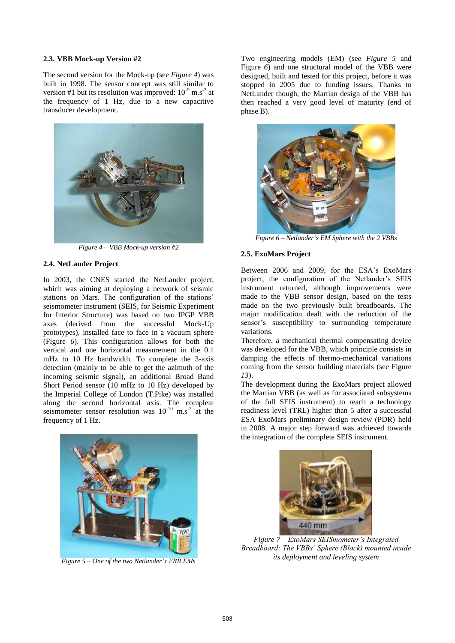#### **2.3. VBB Mock-up Version #2**

The second version for the Mock-up (see *Figure 4*) was built in 1998. The sensor concept was still similar to version #1 but its resolution was improved:  $10^{-9}$  m.s<sup>-2</sup> at the frequency of 1 Hz, due to a new capacitive transducer development.



*Figure 4 – VBB Mock-up version #2* 

### **2.4. NetLander Project**

In 2003, the CNES started the NetLander project, which was aiming at deploying a network of seismic stations on Mars. The configuration of the stations' seismometer instrument (SEIS, for Seismic Experiment for Interior Structure) was based on two IPGP VBB axes (derived from the successful Mock-Up prototypes), installed face to face in a vacuum sphere (Figure *6*). This configuration allows for both the vertical and one horizontal measurement in the 0.1 mHz to 10 Hz bandwidth. To complete the 3-axis detection (mainly to be able to get the azimuth of the incoming seismic signal), an additional Broad Band Short Period sensor (10 mHz to 10 Hz) developed by the Imperial College of London (T.Pike) was installed along the second horizontal axis. The complete seismometer sensor resolution was  $10^{-10}$  m.s<sup>-2</sup> at the frequency of 1 Hz.



*Figure 5 – One of the two Netlander's VBB EMs* 

Two engineering models (EM) (see *Figure 5* and Figure *6*) and one structural model of the VBB were designed, built and tested for this project, before it was stopped in 2005 due to funding issues. Thanks to NetLander though, the Martian design of the VBB has then reached a very good level of maturity (end of phase B).



*Figure 6 – Netlander's EM Sphere with the 2 VBBs* 

#### **2.5. ExoMars Project**

Between 2006 and 2009, for the ESA's ExoMars project, the configuration of the Netlander's SEIS instrument returned, although improvements were made to the VBB sensor design, based on the tests made on the two previously built breadboards. The major modification dealt with the reduction of the sensor's susceptibility to surrounding temperature variations.

Therefore, a mechanical thermal compensating device was developed for the VBB, which principle consists in damping the effects of thermo-mechanical variations coming from the sensor building materials (see Figure *13*).

The development during the ExoMars project allowed the Martian VBB (as well as for associated subsystems of the full SEIS instrument) to reach a technology readiness level (TRL) higher than 5 after a successful ESA ExoMars preliminary design review (PDR) held in 2008. A major step forward was achieved towards the integration of the complete SEIS instrument.



*Figure 7 – ExoMars SEISmometer's Integrated Breadboard: The VBBs' Sphere (Black) mounted inside its deployment and leveling system*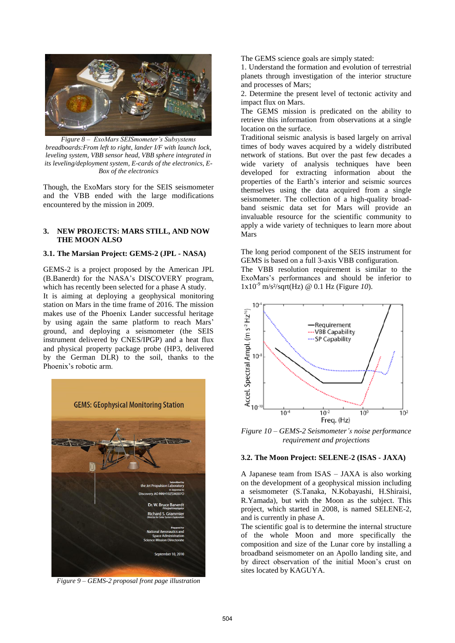

*Figure 8 – ExoMars SEISmometer's Subsystems breadboards:From left to right, lander I/F with launch lock, leveling system, VBB sensor head, VBB sphere integrated in its leveling/deployment system, E-cards of the electronics, E-Box of the electronics* 

Though, the ExoMars story for the SEIS seismometer and the VBB ended with the large modifications encountered by the mission in 2009.

### **3. NEW PROJECTS: MARS STILL, AND NOW THE MOON ALSO**

### **3.1. The Marsian Project: GEMS-2 (JPL - NASA)**

GEMS-2 is a project proposed by the American JPL (B.Banerdt) for the NASA's DISCOVERY program, which has recently been selected for a phase A study. It is aiming at deploying a geophysical monitoring station on Mars in the time frame of 2016. The mission makes use of the Phoenix Lander successful heritage by using again the same platform to reach Mars' ground, and deploying a seismometer (the SEIS instrument delivered by CNES/IPGP) and a heat flux and physical property package probe (HP3, delivered by the German DLR) to the soil, thanks to the Phoenix's robotic arm.



*Figure 9 – GEMS-2 proposal front page illustration* 

The GEMS science goals are simply stated:

1. Understand the formation and evolution of terrestrial planets through investigation of the interior structure and processes of Mars;

2. Determine the present level of tectonic activity and impact flux on Mars.

The GEMS mission is predicated on the ability to retrieve this information from observations at a single location on the surface.

Traditional seismic analysis is based largely on arrival times of body waves acquired by a widely distributed network of stations. But over the past few decades a wide variety of analysis techniques have been developed for extracting information about the properties of the Earth's interior and seismic sources themselves using the data acquired from a single seismometer. The collection of a high-quality broadband seismic data set for Mars will provide an invaluable resource for the scientific community to apply a wide variety of techniques to learn more about Mars

The long period component of the SEIS instrument for GEMS is based on a full 3-axis VBB configuration.

The VBB resolution requirement is similar to the ExoMars's performances and should be inferior to 1x10-9 m/s²/sqrt(Hz) @ 0.1 Hz (Figure *10*).



*Figure 10 – GEMS-2 Seismometer's noise performance requirement and projections*

#### **3.2. The Moon Project: SELENE-2 (ISAS - JAXA)**

A Japanese team from ISAS – JAXA is also working on the development of a geophysical mission including a seismometer (S.Tanaka, N.Kobayashi, H.Shiraisi, R.Yamada), but with the Moon as the subject. This project, which started in 2008, is named SELENE-2, and is currently in phase A.

The scientific goal is to determine the internal structure of the whole Moon and more specifically the composition and size of the Lunar core by installing a broadband seismometer on an Apollo landing site, and by direct observation of the initial Moon's crust on sites located by KAGUYA.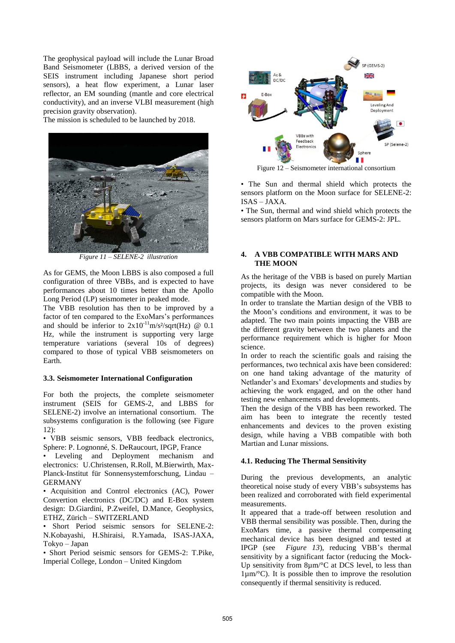The geophysical payload will include the Lunar Broad Band Seismometer (LBBS, a derived version of the SEIS instrument including Japanese short period sensors), a heat flow experiment, a Lunar laser reflector, an EM sounding (mantle and core electrical conductivity), and an inverse VLBI measurement (high precision gravity observation).

The mission is scheduled to be launched by 2018.



*Figure 11 – SELENE-2 illustration* 

As for GEMS, the Moon LBBS is also composed a full configuration of three VBBs, and is expected to have performances about 10 times better than the Apollo Long Period (LP) seismometer in peaked mode.

The VBB resolution has then to be improved by a factor of ten compared to the ExoMars's performances and should be inferior to  $2x10^{-11}$ m/s<sup>2</sup>/sqrt(Hz) @ 0.1 Hz, while the instrument is supporting very large temperature variations (several 10s of degrees) compared to those of typical VBB seismometers on Earth.

## **3.3. Seismometer International Configuration**

For both the projects, the complete seismometer instrument (SEIS for GEMS-2, and LBBS for SELENE-2) involve an international consortium. The subsystems configuration is the following (see Figure 12):

• VBB seismic sensors, VBB feedback electronics, Sphere: P. Lognonné, S. DeRaucourt, IPGP, France

Leveling and Deployment mechanism and electronics: U.Christensen, R.Roll, M.Bierwirth, Max-Planck-Institut für Sonnensystemforschung, Lindau – GERMANY

• Acquisition and Control electronics (AC), Power Convertion electronics (DC/DC) and E-Box system design: D.Giardini, P.Zweifel, D.Mance, Geophysics, ETHZ, Zürich – SWITZERLAND

• Short Period seismic sensors for SELENE-2: N.Kobayashi, H.Shiraisi, R.Yamada, ISAS-JAXA, Tokyo – Japan

• Short Period seismic sensors for GEMS-2: T.Pike, Imperial College, London – United Kingdom



Figure 12 – Seismometer international consortium

• The Sun and thermal shield which protects the sensors platform on the Moon surface for SELENE-2: ISAS – JAXA.

• The Sun, thermal and wind shield which protects the sensors platform on Mars surface for GEMS-2: JPL.

## **4. A VBB COMPATIBLE WITH MARS AND THE MOON**

As the heritage of the VBB is based on purely Martian projects, its design was never considered to be compatible with the Moon.

In order to translate the Martian design of the VBB to the Moon's conditions and environment, it was to be adapted. The two main points impacting the VBB are the different gravity between the two planets and the performance requirement which is higher for Moon science.

In order to reach the scientific goals and raising the performances, two technical axis have been considered: on one hand taking advantage of the maturity of Netlander's and Exomars' developments and studies by achieving the work engaged, and on the other hand testing new enhancements and developments.

Then the design of the VBB has been reworked. The aim has been to integrate the recently tested enhancements and devices to the proven existing design, while having a VBB compatible with both Martian and Lunar missions.

## **4.1. Reducing The Thermal Sensitivity**

During the previous developments, an analytic theoretical noise study of every VBB's subsystems has been realized and corroborated with field experimental measurements.

It appeared that a trade-off between resolution and VBB thermal sensibility was possible. Then, during the ExoMars time, a passive thermal compensating mechanical device has been designed and tested at IPGP (see *Figure 13*), reducing VBB's thermal sensitivity by a significant factor (reducing the Mock-Up sensitivity from  $8\mu m$ <sup>o</sup>C at DCS level, to less than  $1\mu$ m/°C). It is possible then to improve the resolution consequently if thermal sensitivity is reduced.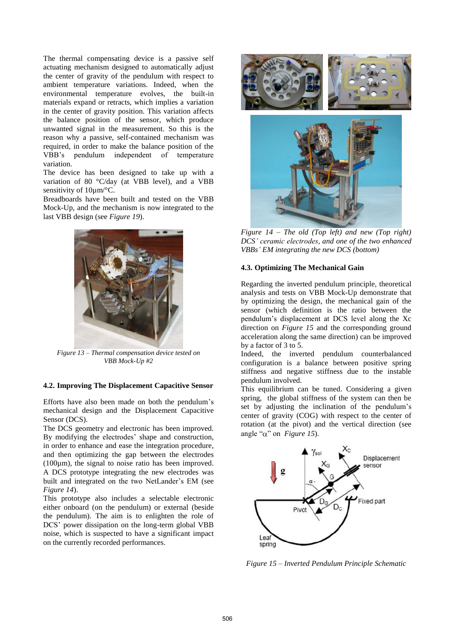The thermal compensating device is a passive self actuating mechanism designed to automatically adjust the center of gravity of the pendulum with respect to ambient temperature variations. Indeed, when the environmental temperature evolves, the built-in materials expand or retracts, which implies a variation in the center of gravity position. This variation affects the balance position of the sensor, which produce unwanted signal in the measurement. So this is the reason why a passive, self-contained mechanism was required, in order to make the balance position of the VBB's pendulum independent of temperature variation.

The device has been designed to take up with a variation of 80 °C/day (at VBB level), and a VBB sensitivity of  $10 \mu m$ <sup>o</sup>C.

Breadboards have been built and tested on the VBB Mock-Up, and the mechanism is now integrated to the last VBB design (see *Figure 19*).



*Figure 13 – Thermal compensation device tested on VBB Mock-Up #2* 

### **4.2. Improving The Displacement Capacitive Sensor**

Efforts have also been made on both the pendulum's mechanical design and the Displacement Capacitive Sensor (DCS).

The DCS geometry and electronic has been improved. By modifying the electrodes' shape and construction, in order to enhance and ease the integration procedure, and then optimizing the gap between the electrodes (100µm), the signal to noise ratio has been improved. A DCS prototype integrating the new electrodes was built and integrated on the two NetLander's EM (see *Figure 14*).

This prototype also includes a selectable electronic either onboard (on the pendulum) or external (beside the pendulum). The aim is to enlighten the role of DCS' power dissipation on the long-term global VBB noise, which is suspected to have a significant impact on the currently recorded performances.



*Figure 14 – The old (Top left) and new (Top right) DCS' ceramic electrodes, and one of the two enhanced VBBs' EM integrating the new DCS (bottom)*

### **4.3. Optimizing The Mechanical Gain**

Regarding the inverted pendulum principle, theoretical analysis and tests on VBB Mock-Up demonstrate that by optimizing the design, the mechanical gain of the sensor (which definition is the ratio between the pendulum's displacement at DCS level along the Xc direction on *Figure 15* and the corresponding ground acceleration along the same direction) can be improved by a factor of 3 to 5.

Indeed, the inverted pendulum counterbalanced configuration is a balance between positive spring stiffness and negative stiffness due to the instable pendulum involved.

This equilibrium can be tuned. Considering a given spring, the global stiffness of the system can then be set by adjusting the inclination of the pendulum's center of gravity (COG) with respect to the center of rotation (at the pivot) and the vertical direction (see angle " $\alpha$ " on *Figure 15*).



*Figure 15 – Inverted Pendulum Principle Schematic*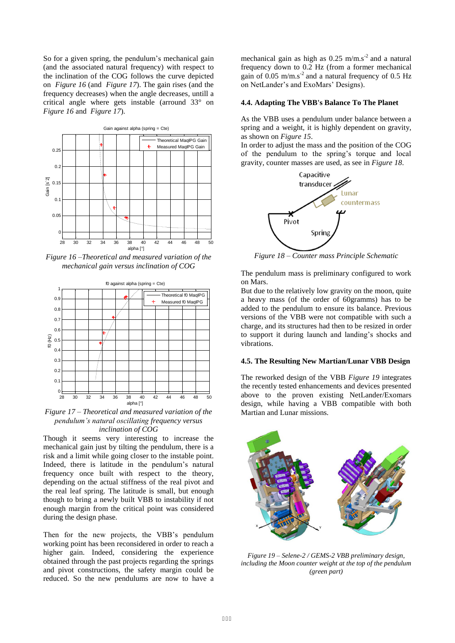So for a given spring, the pendulum's mechanical gain (and the associated natural frequency) with respect to the inclination of the COG follows the curve depicted on *Figure 16* (and *Figure 17*). The gain rises (and the frequency decreases) when the angle decreases, untill a critical angle where gets instable (arround 33° on *Figure 16* and *Figure 17*).



*Figure 16 –Theoretical and measured variation of the mechanical gain versus inclination of COG* 



*Figure 17 – Theoretical and measured variation of the pendulum's natural oscillating frequency versus inclination of COG* 

Though it seems very interesting to increase the mechanical gain just by tilting the pendulum, there is a risk and a limit while going closer to the instable point. Indeed, there is latitude in the pendulum's natural frequency once built with respect to the theory, depending on the actual stiffness of the real pivot and the real leaf spring. The latitude is small, but enough though to bring a newly built VBB to instability if not enough margin from the critical point was considered during the design phase.

Then for the new projects, the VBB's pendulum working point has been reconsidered in order to reach a higher gain. Indeed, considering the experience obtained through the past projects regarding the springs and pivot constructions, the safety margin could be reduced. So the new pendulums are now to have a mechanical gain as high as  $0.25$  m/m.s<sup>-2</sup> and a natural frequency down to 0.2 Hz (from a former mechanical gain of  $0.05$  m/m.s<sup>-2</sup> and a natural frequency of  $0.5$  Hz on NetLander's and ExoMars' Designs).

#### **4.4. Adapting The VBB's Balance To The Planet**

As the VBB uses a pendulum under balance between a spring and a weight, it is highly dependent on gravity, as shown on *Figure 15*.

In order to adjust the mass and the position of the COG of the pendulum to the spring's torque and local gravity, counter masses are used, as see in *Figure 18*.



*Figure 18 – Counter mass Principle Schematic* 

The pendulum mass is preliminary configured to work on Mars.

But due to the relatively low gravity on the moon, quite a heavy mass (of the order of 60gramms) has to be added to the pendulum to ensure its balance. Previous versions of the VBB were not compatible with such a charge, and its structures had then to be resized in order to support it during launch and landing's shocks and vibrations.

#### **4.5. The Resulting New Martian/Lunar VBB Design**

The reworked design of the VBB *Figure 19* integrates the recently tested enhancements and devices presented above to the proven existing NetLander/Exomars design, while having a VBB compatible with both Martian and Lunar missions.



*Figure 19 – Selene-2 / GEMS-2 VBB preliminary design, including the Moon counter weight at the top of the pendulum (green part)*